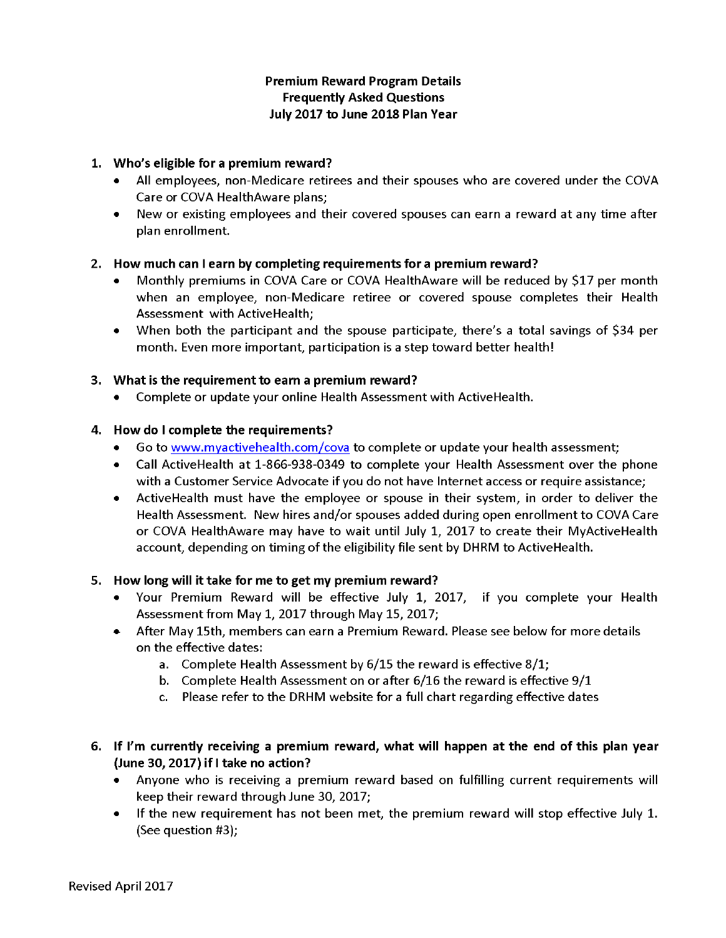# Premium Reward Program Details Frequently Asked Questions July 2017 to June 2018 Plan Year

## 1. Who's eligible for a premium reward?

- All employees, non-Medicare retirees and their spouseswho are covered under the COVA Care or COVA HealthAware plans;
- New or existing employees and their covered spouses can earn a reward at any time after plan enrollment.

### 2. How much can I earn by completing requirements for a premium reward?

- Monthly premiums in COVA Care or COVA HealthAware will be reduced by \$17 per month when an employee, non-Medicare retiree or covered spouse completes their Health Assessment with ActiveHealth;
- When both the participant and the spouse participate, there's a total savings of \$34 per month. Even more important, participation is a step toward better health!

### 3. What is the requirement to earn a premium reward?

• Complete or update your online Health Assessment with ActiveHealth.

### 4. How do I complete the requirements?

- Go to www.myactivehealth.com/cova to complete or update your health assessment;
- Call ActiveHealth at 1-866-938-0349 to complete your Health Assessment over the phone with a Customer Service Advocate if you do not have Internet access or require assistance;
- ActiveHealth must have the employee or spouse in their system, in order to deliver the Health Assessment. New hires and/or spouses added during open enrollment to COVA Care or COVA HealthAware may have to wait until July I, 2017 to create their MyActiveHealth account, depending on timing of the eligibility file sent by DHRM to ActiveHealth.

#### S. How long will it take for me to get my premium reward?

- Your Premium Reward will be effective July I, 2017, if you complete your Health Assessment from May 1, 2017 through May 15, 2017;
- After May 15th, members can earn a Premium Reward. Please see below for more details on the effective dates:
	- a. Complete Health Assessment by  $6/15$  the reward is effective  $8/1$ ;
	- b. Complete Health Assessment on or after 6/16 the reward is effective 9/1
	- c. Please refer to the DRHM website for a full chart regarding effective dates
- 6. If I'm currently receiving a premium reward, what will happen at the end of this plan year (June30, 2017) if I take no action?
	- Anyone who is receiving a premium reward based on fulfilling current requirements will keep their reward through June 30, 2017;
	- If the new requirement has not been met, the premium reward will stop effective July 1. (See question #3);